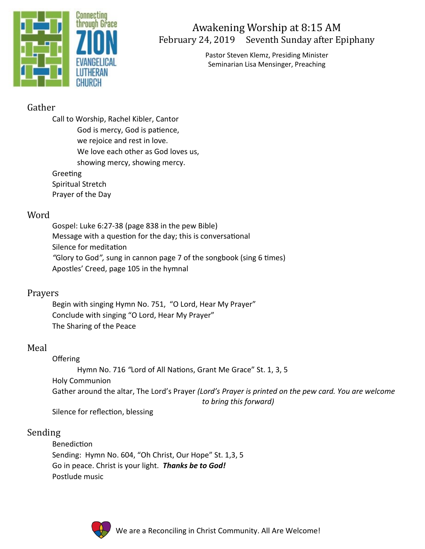

# Awakening Worship at 8:15 AM February 24, 2019 Seventh Sunday after Epiphany

Pastor Steven Klemz, Presiding Minister Seminarian Lisa Mensinger, Preaching

## Gather

Call to Worship, Rachel Kibler, Cantor God is mercy, God is patience, we rejoice and rest in love. We love each other as God loves us, showing mercy, showing mercy. Greeting

Spiritual Stretch Prayer of the Day

#### Word

Gospel: Luke 6:27-38 (page 838 in the pew Bible) Message with a question for the day; this is conversational Silence for meditation *"*Glory to God*",* sung in cannon page 7 of the songbook (sing 6 times) Apostles' Creed, page 105 in the hymnal

### Prayers

Begin with singing Hymn No. 751, "O Lord, Hear My Prayer" Conclude with singing "O Lord, Hear My Prayer" The Sharing of the Peace

### Meal

Offering Hymn No. 716 *"*Lord of All Nations, Grant Me Grace" St. 1, 3, 5 Holy Communion Gather around the altar, The Lord's Prayer *(Lord's Prayer is printed on the pew card. You are welcome to bring this forward)*

Silence for reflection, blessing

### Sending

Benediction Sending: Hymn No. 604, "Oh Christ, Our Hope" St. 1,3, 5 Go in peace. Christ is your light. *Thanks be to God!* Postlude music